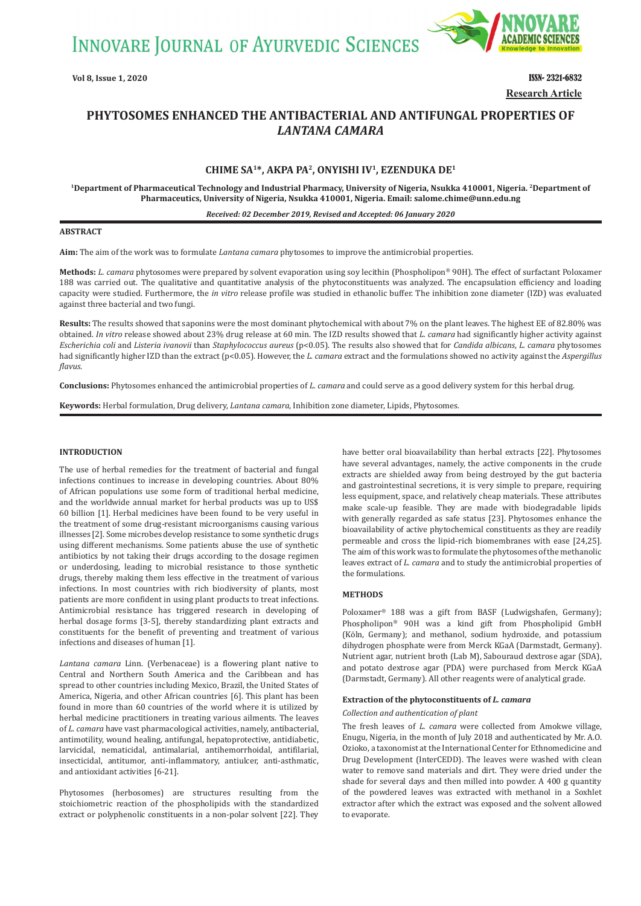**INNOVARE JOURNAL OF AYURVEDIC SCIENCES** 



**Vol 8, Issue 1, 2020** ISSN- 2321-6832 **Research Article**

# **PHYTOSOMES ENHANCED THE ANTIBACTERIAL AND ANTIFUNGAL PROPERTIES OF**  *LANTANA CAMARA*

# **CHIME SA1\*, AKPA PA2, ONYISHI IV1, EZENDUKA DE1**

**1Department of Pharmaceutical Technology and Industrial Pharmacy, University of Nigeria, Nsukka 410001, Nigeria. 2Department of Pharmaceutics, University of Nigeria, Nsukka 410001, Nigeria. Email: salome.chime@unn.edu.ng**

#### *Received: 02 December 2019, Revised and Accepted: 06 January 2020*

# **ABSTRACT**

**Aim:** The aim of the work was to formulate *Lantana camara* phytosomes to improve the antimicrobial properties.

**Methods:** *L. camara* phytosomes were prepared by solvent evaporation using soy lecithin (Phospholipon® 90H). The effect of surfactant Poloxamer 188 was carried out. The qualitative and quantitative analysis of the phytoconstituents was analyzed. The encapsulation efficiency and loading capacity were studied. Furthermore, the *in vitro* release profile was studied in ethanolic buffer. The inhibition zone diameter (IZD) was evaluated against three bacterial and two fungi.

**Results:** The results showed that saponins were the most dominant phytochemical with about 7% on the plant leaves. The highest EE of 82.80% was obtained. *In vitro* release showed about 23% drug release at 60 min. The IZD results showed that *L. camara* had significantly higher activity against *Escherichia coli* and *Listeria ivanovii* than *Staphylococcus aureus* (p<0.05). The results also showed that for *Candida albicans*, *L. camara* phytosomes had significantly higher IZD than the extract (p<0.05). However, the *L. camara* extract and the formulations showed no activity against the *Aspergillus flavus*.

**Conclusions:** Phytosomes enhanced the antimicrobial properties of *L. camara* and could serve as a good delivery system for this herbal drug.

**Keywords:** Herbal formulation, Drug delivery, *Lantana camara*, Inhibition zone diameter, Lipids, Phytosomes.

# **INTRODUCTION**

The use of herbal remedies for the treatment of bacterial and fungal infections continues to increase in developing countries. About 80% of African populations use some form of traditional herbal medicine, and the worldwide annual market for herbal products was up to US\$ 60 billion [1]. Herbal medicines have been found to be very useful in the treatment of some drug-resistant microorganisms causing various illnesses [2]. Some microbes develop resistance to some synthetic drugs using different mechanisms. Some patients abuse the use of synthetic antibiotics by not taking their drugs according to the dosage regimen or underdosing, leading to microbial resistance to those synthetic drugs, thereby making them less effective in the treatment of various infections. In most countries with rich biodiversity of plants, most patients are more confident in using plant products to treat infections. Antimicrobial resistance has triggered research in developing of herbal dosage forms [3-5], thereby standardizing plant extracts and constituents for the benefit of preventing and treatment of various infections and diseases of human [1].

*Lantana camara* Linn. (Verbenaceae) is a flowering plant native to Central and Northern South America and the Caribbean and has spread to other countries including Mexico, Brazil, the United States of America, Nigeria, and other African countries [6]. This plant has been found in more than 60 countries of the world where it is utilized by herbal medicine practitioners in treating various ailments. The leaves of *L. camara* have vast pharmacological activities, namely, antibacterial, antimotility, wound healing, antifungal, hepatoprotective, antidiabetic, larvicidal, nematicidal, antimalarial, antihemorrhoidal, antifilarial, insecticidal, antitumor, anti-inflammatory, antiulcer, anti-asthmatic, and antioxidant activities [6-21].

Phytosomes (herbosomes) are structures resulting from the stoichiometric reaction of the phospholipids with the standardized extract or polyphenolic constituents in a non-polar solvent [22]. They have better oral bioavailability than herbal extracts [22]. Phytosomes have several advantages, namely, the active components in the crude extracts are shielded away from being destroyed by the gut bacteria and gastrointestinal secretions, it is very simple to prepare, requiring less equipment, space, and relatively cheap materials. These attributes make scale-up feasible. They are made with biodegradable lipids with generally regarded as safe status [23]. Phytosomes enhance the bioavailability of active phytochemical constituents as they are readily permeable and cross the lipid-rich biomembranes with ease [24,25]. The aim of this work was to formulate the phytosomes of the methanolic leaves extract of *L. camara* and to study the antimicrobial properties of the formulations.

# **METHODS**

Poloxamer® 188 was a gift from BASF (Ludwigshafen, Germany); Phospholipon® 90H was a kind gift from Phospholipid GmbH (Köln, Germany); and methanol, sodium hydroxide, and potassium dihydrogen phosphate were from Merck KGaA (Darmstadt, Germany). Nutrient agar, nutrient broth (Lab M), Sabouraud dextrose agar (SDA), and potato dextrose agar (PDA) were purchased from Merck KGaA (Darmstadt, Germany). All other reagents were of analytical grade.

### **Extraction of the phytoconstituents of** *L. camara*

#### *Collection and authentication of plant*

The fresh leaves of *L. camara* were collected from Amokwe village, Enugu, Nigeria, in the month of July 2018 and authenticated by Mr. A.O. Ozioko, a taxonomist at the International Center for Ethnomedicine and Drug Development (InterCEDD). The leaves were washed with clean water to remove sand materials and dirt. They were dried under the shade for several days and then milled into powder. A 400 g quantity of the powdered leaves was extracted with methanol in a Soxhlet extractor after which the extract was exposed and the solvent allowed to evaporate.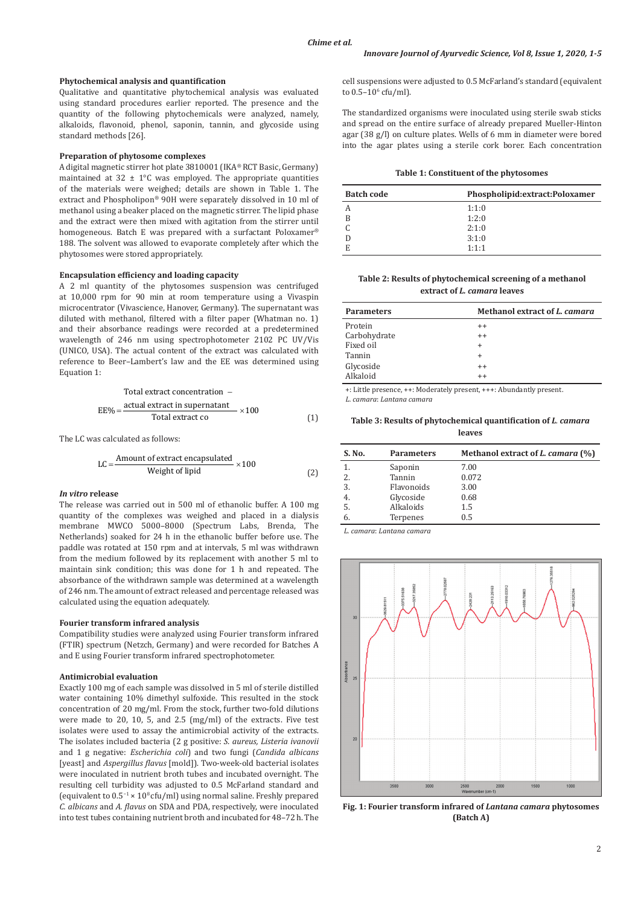### **Phytochemical analysis and quantification**

Qualitative and quantitative phytochemical analysis was evaluated using standard procedures earlier reported. The presence and the quantity of the following phytochemicals were analyzed, namely, alkaloids, flavonoid, phenol, saponin, tannin, and glycoside using standard methods [26].

### **Preparation of phytosome complexes**

A digital magnetic stirrer hot plate 3810001 (IKA® RCT Basic, Germany) maintained at  $32 \pm 1$ °C was employed. The appropriate quantities of the materials were weighed; details are shown in Table 1. The extract and Phospholipon® 90H were separately dissolved in 10 ml of methanol using a beaker placed on the magnetic stirrer. The lipid phase and the extract were then mixed with agitation from the stirrer until homogeneous. Batch E was prepared with a surfactant Poloxamer® 188. The solvent was allowed to evaporate completely after which the phytosomes were stored appropriately.

# **Encapsulation efficiency and loading capacity**

A 2 ml quantity of the phytosomes suspension was centrifuged at 10,000 rpm for 90 min at room temperature using a Vivaspin microcentrator (Vivascience, Hanover, Germany). The supernatant was diluted with methanol, filtered with a filter paper (Whatman no. 1) and their absorbance readings were recorded at a predetermined wavelength of 246 nm using spectrophotometer 2102 PC UV/Vis (UNICO, USA). The actual content of the extract was calculated with reference to Beer–Lambert's law and the EE was determined using Equation 1:

Total extract concentration –  
\n
$$
EE\% = \frac{\text{actual extract in supernatant}}{\text{Total extract co}} \times 100
$$
\n(1)

The LC was calculated as follows:

$$
LC = \frac{Amount of extract encapsulated}{Weight of lipid} \times 100
$$
 (2)

### *In vitro* **release**

The release was carried out in 500 ml of ethanolic buffer. A 100 mg quantity of the complexes was weighed and placed in a dialysis membrane MWCO 5000–8000 (Spectrum Labs, Brenda, The Netherlands) soaked for 24 h in the ethanolic buffer before use. The paddle was rotated at 150 rpm and at intervals, 5 ml was withdrawn from the medium followed by its replacement with another 5 ml to maintain sink condition; this was done for 1 h and repeated. The absorbance of the withdrawn sample was determined at a wavelength of 246 nm. The amount of extract released and percentage released was calculated using the equation adequately.

### **Fourier transform infrared analysis**

Compatibility studies were analyzed using Fourier transform infrared (FTIR) spectrum (Netzch, Germany) and were recorded for Batches A and E using Fourier transform infrared spectrophotometer.

### **Antimicrobial evaluation**

Exactly 100 mg of each sample was dissolved in 5 ml of sterile distilled water containing 10% dimethyl sulfoxide. This resulted in the stock concentration of 20 mg/ml. From the stock, further two-fold dilutions were made to 20, 10, 5, and 2.5 (mg/ml) of the extracts. Five test isolates were used to assay the antimicrobial activity of the extracts. The isolates included bacteria (2 g positive: *S. aureus, Listeria ivanovii* and 1 g negative: *Escherichia coli*) and two fungi (*Candida albicans* [yeast] and *Aspergillus flavus* [mold]). Two-week-old bacterial isolates were inoculated in nutrient broth tubes and incubated overnight. The resulting cell turbidity was adjusted to 0.5 McFarland standard and (equivalent to 0.5−1 × 108 cfu/ml) using normal saline. Freshly prepared *C. albicans* and *A. flavus* on SDA and PDA, respectively, were inoculated into test tubes containing nutrient broth and incubated for 48–72 h. The

cell suspensions were adjusted to 0.5 McFarland's standard (equivalent to 0.5–10° cfu/ml).

The standardized organisms were inoculated using sterile swab sticks and spread on the entire surface of already prepared Mueller-Hinton agar (38 g/l) on culture plates. Wells of 6 mm in diameter were bored into the agar plates using a sterile cork borer. Each concentration

| <b>Batch code</b> | Phospholipid:extract:Poloxamer |
|-------------------|--------------------------------|
| А                 | 1:1:0                          |
| B                 | 1:2:0                          |
|                   | 2:1:0                          |
|                   | 3:1:0                          |
| E                 | 1:1:1                          |

**Table 2: Results of phytochemical screening of a methanol extract of** *L. camara* **leaves**

| <b>Parameters</b> | Methanol extract of L. camara |
|-------------------|-------------------------------|
| Protein           | $^{++}$                       |
| Carbohydrate      | $++$                          |
| Fixed oil         | $\ddot{}$                     |
| Tannin            | $\ddot{}$                     |
| Glycoside         | $++$                          |
| Alkaloid          | $++$                          |

+: Little presence, ++: Moderately present, +++: Abundantly present.

*L. camara*: *Lantana camara* 

**Table 3: Results of phytochemical quantification of** *L. camara*  **leaves**

| S. No. | <b>Parameters</b> | Methanol extract of <i>L. camara</i> (%) |  |
|--------|-------------------|------------------------------------------|--|
|        | Saponin           | 7.00                                     |  |
| 2.     | Tannin            | 0.072                                    |  |
| 3.     | Flavonoids        | 3.00                                     |  |
| 4.     | Glycoside         | 0.68                                     |  |
| 5.     | Alkaloids         | 1.5                                      |  |
| 6.     | Terpenes          | 0.5                                      |  |

*L. camara*: *Lantana camara*



**Fig. 1: Fourier transform infrared of** *Lantana camara* **phytosomes (Batch A)**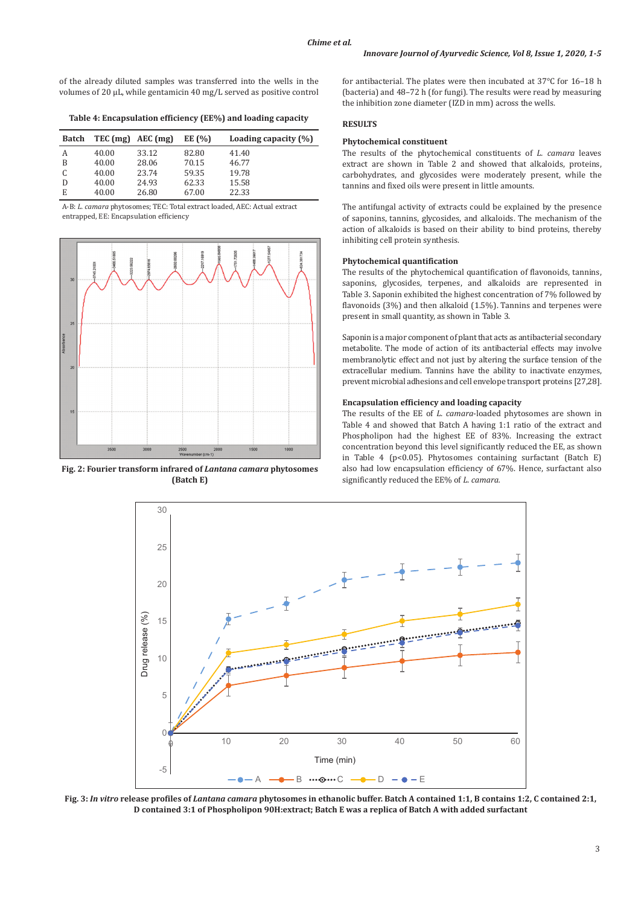of the already diluted samples was transferred into the wells in the volumes of 20 μL, while gentamicin 40 mg/L served as positive control

**Table 4: Encapsulation efficiency (EE%) and loading capacity**

| <b>Batch</b> |       | $TEC$ (mg) $AEC$ (mg) | EE $(% )$ | Loading capacity $(\% )$ |
|--------------|-------|-----------------------|-----------|--------------------------|
| А            | 40.00 | 33.12                 | 82.80     | 41.40                    |
| B            | 40.00 | 28.06                 | 70.15     | 46.77                    |
|              | 40.00 | 23.74                 | 59.35     | 19.78                    |
| D            | 40.00 | 24.93                 | 62.33     | 15.58                    |
| E            | 40.00 | 26.80                 | 67.00     | 22.33                    |

A-B: *L. camara* phytosomes; TEC: Total extract loaded, AEC: Actual extract entrapped, EE: Encapsulation efficiency



**Fig. 2: Fourier transform infrared of** *Lantana camara* **phytosomes (Batch E)**

for antibacterial. The plates were then incubated at 37°C for 16–18 h (bacteria) and 48–72 h (for fungi). The results were read by measuring the inhibition zone diameter (IZD in mm) across the wells.

# **RESULTS**

### **Phytochemical constituent**

The results of the phytochemical constituents of *L. camara* leaves extract are shown in Table 2 and showed that alkaloids, proteins, carbohydrates, and glycosides were moderately present, while the tannins and fixed oils were present in little amounts.

The antifungal activity of extracts could be explained by the presence of saponins, tannins, glycosides, and alkaloids. The mechanism of the action of alkaloids is based on their ability to bind proteins, thereby inhibiting cell protein synthesis.

#### **Phytochemical quantification**

The results of the phytochemical quantification of flavonoids, tannins, saponins, glycosides, terpenes, and alkaloids are represented in Table 3. Saponin exhibited the highest concentration of 7% followed by flavonoids (3%) and then alkaloid (1.5%). Tannins and terpenes were present in small quantity, as shown in Table 3.

Saponin is a major component of plant that acts as antibacterial secondary metabolite. The mode of action of its antibacterial effects may involve membranolytic effect and not just by altering the surface tension of the extracellular medium. Tannins have the ability to inactivate enzymes, prevent microbial adhesions and cell envelope transport proteins [27,28].

### **Encapsulation efficiency and loading capacity**

The results of the EE of *L. camara*-loaded phytosomes are shown in Table 4 and showed that Batch A having 1:1 ratio of the extract and Phospholipon had the highest EE of 83%. Increasing the extract concentration beyond this level significantly reduced the EE, as shown in Table 4 ( $p$ <0.05). Phytosomes containing surfactant (Batch E) also had low encapsulation efficiency of 67%. Hence, surfactant also significantly reduced the EE% of *L. camara.*



**Fig. 3:** *In vitro* **release profiles of** *Lantana camara* **phytosomes in ethanolic buffer. Batch A contained 1:1, B contains 1:2, C contained 2:1, D contained 3:1 of Phospholipon 90H:extract; Batch E was a replica of Batch A with added surfactant**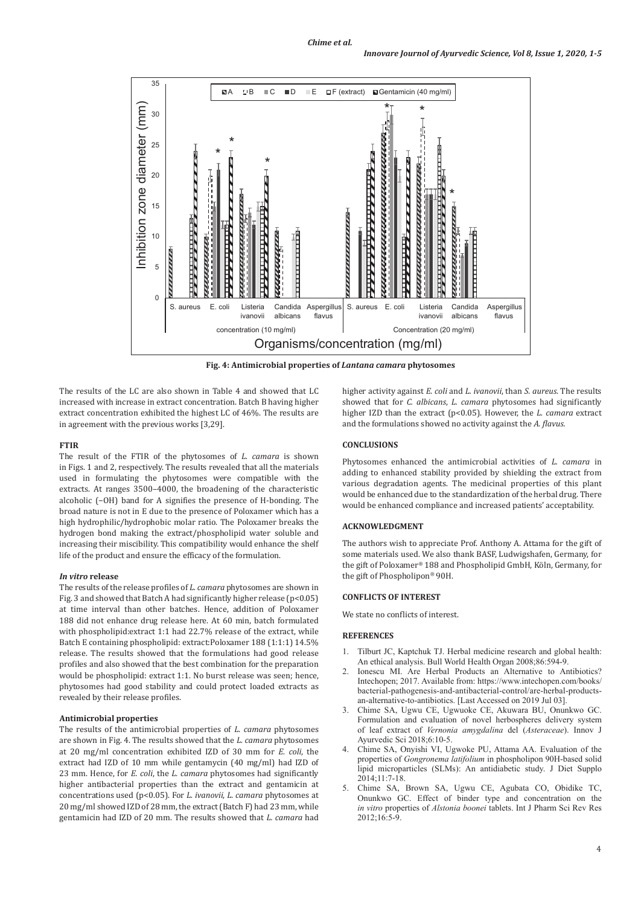

**Fig. 4: Antimicrobial properties of** *Lantana camara* **phytosomes**

The results of the LC are also shown in Table 4 and showed that LC increased with increase in extract concentration. Batch B having higher extract concentration exhibited the highest LC of 46%. The results are in agreement with the previous works [3,29].

### **FTIR**

The result of the FTIR of the phytosomes of *L. camara* is shown in Figs. 1 and 2, respectively. The results revealed that all the materials used in formulating the phytosomes were compatible with the extracts. At ranges 3500–4000, the broadening of the characteristic alcoholic (−OH) band for A signifies the presence of H-bonding. The broad nature is not in E due to the presence of Poloxamer which has a high hydrophilic/hydrophobic molar ratio. The Poloxamer breaks the hydrogen bond making the extract/phospholipid water soluble and increasing their miscibility. This compatibility would enhance the shelf life of the product and ensure the efficacy of the formulation.

### *In vitro* **release**

The results of the release profiles of *L. camara* phytosomes are shown in Fig. 3 and showed that Batch A had significantly higher release ( $p<0.05$ ) at time interval than other batches. Hence, addition of Poloxamer 188 did not enhance drug release here. At 60 min, batch formulated with phospholipid:extract 1:1 had 22.7% release of the extract, while Batch E containing phospholipid: extract:Poloxamer 188 (1:1:1) 14.5% release. The results showed that the formulations had good release profiles and also showed that the best combination for the preparation would be phospholipid: extract 1:1. No burst release was seen; hence, phytosomes had good stability and could protect loaded extracts as revealed by their release profiles.

# **Antimicrobial properties**

The results of the antimicrobial properties of *L. camara* phytosomes are shown in Fig. 4. The results showed that the *L. camara* phytosomes at 20 mg/ml concentration exhibited IZD of 30 mm for *E. coli*, the extract had IZD of 10 mm while gentamycin (40 mg/ml) had IZD of 23 mm. Hence, for *E. coli*, the *L. camara* phytosomes had significantly higher antibacterial properties than the extract and gentamicin at concentrations used (p<0.05). For *L. ivanovii*, *L. camara* phytosomes at 20 mg/ml showed IZD of 28 mm, the extract (Batch F) had 23 mm, while gentamicin had IZD of 20 mm. The results showed that *L. camara* had

higher activity against *E. coli* and *L. ivanovii*, than *S. aureus*. The results showed that for *C. albicans*, *L. camara* phytosomes had significantly higher IZD than the extract (p<0.05). However, the *L. camara* extract and the formulations showed no activity against the *A. flavus.*

# **CONCLUSIONS**

Phytosomes enhanced the antimicrobial activities of *L. camara* in adding to enhanced stability provided by shielding the extract from various degradation agents. The medicinal properties of this plant would be enhanced due to the standardization of the herbal drug. There would be enhanced compliance and increased patients' acceptability.

# **ACKNOWLEDGMENT**

The authors wish to appreciate Prof. Anthony A. Attama for the gift of some materials used. We also thank BASF, Ludwigshafen, Germany, for the gift of Poloxamer® 188 and Phospholipid GmbH, Köln, Germany, for the gift of Phospholipon® 90H.

## **CONFLICTS OF INTEREST**

We state no conflicts of interest.

# **REFERENCES**

- 1. Tilburt JC, Kaptchuk TJ. Herbal medicine research and global health: An ethical analysis. Bull World Health Organ 2008;86:594-9.
- Ionescu MI. Are Herbal Products an Alternative to Antibiotics? Intechopen; 2017. Available from: https://www.intechopen.com/books/ bacterial-pathogenesis-and-antibacterial-control/are-herbal-productsan-alternative-to-antibiotics. [Last Accessed on 2019 Jul 03].
- 3. Chime SA, Ugwu CE, Ugwuoke CE, Akuwara BU, Onunkwo GC. Formulation and evaluation of novel herbospheres delivery system of leaf extract of *Vernonia amygdalina* del (*Asteraceae*). Innov J Ayurvedic Sci 2018;6:10-5.
- 4. Chime SA, Onyishi VI, Ugwoke PU, Attama AA. Evaluation of the properties of *Gongronema latifolium* in phospholipon 90H-based solid lipid microparticles (SLMs): An antidiabetic study. J Diet Supplo 2014;11:7-18.
- 5. Chime SA, Brown SA, Ugwu CE, Agubata CO, Obidike TC, Onunkwo GC. Effect of binder type and concentration on the *in vitro* properties of *Alstonia boonei* tablets. Int J Pharm Sci Rev Res 2012;16:5-9.